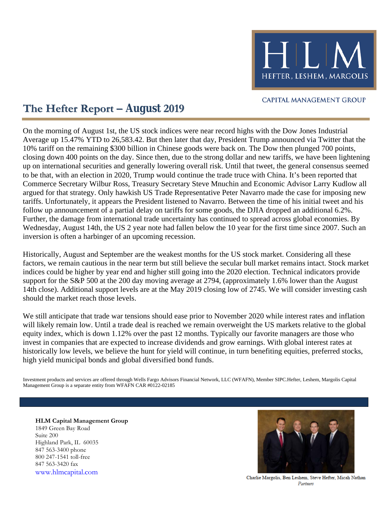

## **CAPITAL MANAGEMENT GROUP**

# **The Hefter Report – August 2019**

inversion is often a harbinger of an upcoming recession. Wednesday, August 14th, the US 2 year note had fallen below the 10 year for the first time since 2007. Such an Further, the damage from international trade uncertainty has continued to spread across global economies. By follow up announcement of a partial delay on tariffs for some goods, the DJIA dropped an additional 6.2%. tariffs. Unfortunately, it appears the President listened to Navarro. Between the time of his initial tweet and his argued for that strategy. Only hawkish US Trade Representative Peter Navarro made the case for imposing new Commerce Secretary Wilbur Ross, Treasury Secretary Steve Mnuchin and Economic Advisor Larry Kudlow all to be that, with an election in 2020, Trump would continue the trade truce with China. It's been reported that up on international securities and generally lowering overall risk. Until that tweet, the general consensus seemed closing down 400 points on the day. Since then, due to the strong dollar and new tariffs, we have been lightening 10% tariff on the remaining \$300 billion in Chinese goods were back on. The Dow then plunged 700 points, Average up 15.47% YTD to 26,583.42. But then later that day, President Trump announced via Twitter that the On the morning of August 1st, the US stock indices were near record highs with the Dow Jones Industrial

should the market reach those levels. 14th close). Additional support levels are at the May 2019 closing low of 2745. We will consider investing cash support for the S&P 500 at the 200 day moving average at 2794, (approximately 1.6% lower than the August indices could be higher by year end and higher still going into the 2020 election. Technical indicators provide factors, we remain cautious in the near term but still believe the secular bull market remains intact. Stock market Historically, August and September are the weakest months for the US stock market. Considering all these

high yield municipal bonds and global diversified bond funds. historically low levels, we believe the hunt for yield will continue, in turn benefiting equities, preferred stocks, invest in companies that are expected to increase dividends and grow earnings. With global interest rates at equity index, which is down 1.12% over the past 12 months. Typically our favorite managers are those who will likely remain low. Until a trade deal is reached we remain overweight the US markets relative to the global We still anticipate that trade war tensions should ease prior to November 2020 while interest rates and inflation

Management Group is a separate entity from WFAFN CAR #0122-02185 Investment products and services are offered through Wells Fargo Advisors Financial Network, LLC (WFAFN), Member SIPC.Hefter, Leshem, Margolis Capital

**HLM Capital Management Group** 1849 Green Bay Road Suite 200 Highland Park, IL 60035 847 563-3400 phone 800 247-1541 toll-free 847 563-3420 fax



[www.hlmcapital.com](http://www.hlmcapital.com/) Charlie Margolis, Ben Leshem, Steve Hefter, Micah Nathan Partners *Partners*